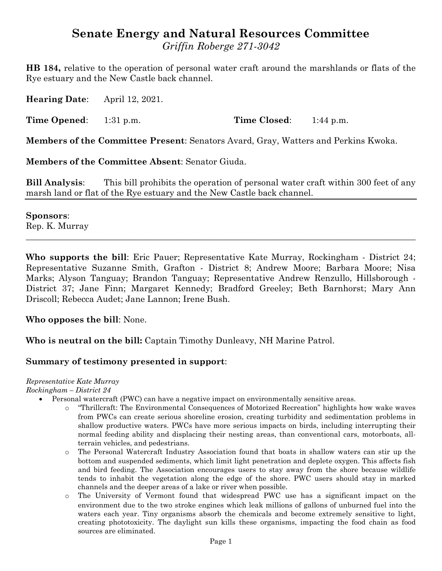# **Senate Energy and Natural Resources Committee** *Griffin Roberge 271-3042*

**HB 184,** relative to the operation of personal water craft around the marshlands or flats of the Rye estuary and the New Castle back channel.

**Hearing Date**: April 12, 2021.

**Time Opened:** 1:31 p.m. **Time Closed:** 1:44 p.m.

**Members of the Committee Present**: Senators Avard, Gray, Watters and Perkins Kwoka.

**Members of the Committee Absent**: Senator Giuda.

**Bill Analysis**: This bill prohibits the operation of personal water craft within 300 feet of any marsh land or flat of the Rye estuary and the New Castle back channel.

### **Sponsors**:

Rep. K. Murray

**Who supports the bill**: Eric Pauer; Representative Kate Murray, Rockingham - District 24; Representative Suzanne Smith, Grafton - District 8; Andrew Moore; Barbara Moore; Nisa Marks; Alyson Tanguay; Brandon Tanguay; Representative Andrew Renzullo, Hillsborough - District 37; Jane Finn; Margaret Kennedy; Bradford Greeley; Beth Barnhorst; Mary Ann Driscoll; Rebecca Audet; Jane Lannon; Irene Bush.

 $\_$  , and the set of the set of the set of the set of the set of the set of the set of the set of the set of the set of the set of the set of the set of the set of the set of the set of the set of the set of the set of th

**Who opposes the bill**: None.

**Who is neutral on the bill:** Captain Timothy Dunleavy, NH Marine Patrol.

## **Summary of testimony presented in support**:

*Representative Kate Murray Rockingham – District 24*

- Personal watercraft (PWC) can have a negative impact on environmentally sensitive areas.
	- o "Thrillcraft: The Environmental Consequences of Motorized Recreation" highlights how wake waves from PWCs can create serious shoreline erosion, creating turbidity and sedimentation problems in shallow productive waters. PWCs have more serious impacts on birds, including interrupting their normal feeding ability and displacing their nesting areas, than conventional cars, motorboats, allterrain vehicles, and pedestrians.
	- o The Personal Watercraft Industry Association found that boats in shallow waters can stir up the bottom and suspended sediments, which limit light penetration and deplete oxygen. This affects fish and bird feeding. The Association encourages users to stay away from the shore because wildlife tends to inhabit the vegetation along the edge of the shore. PWC users should stay in marked channels and the deeper areas of a lake or river when possible.
	- o The University of Vermont found that widespread PWC use has a significant impact on the environment due to the two stroke engines which leak millions of gallons of unburned fuel into the waters each year. Tiny organisms absorb the chemicals and become extremely sensitive to light, creating phototoxicity. The daylight sun kills these organisms, impacting the food chain as food sources are eliminated.